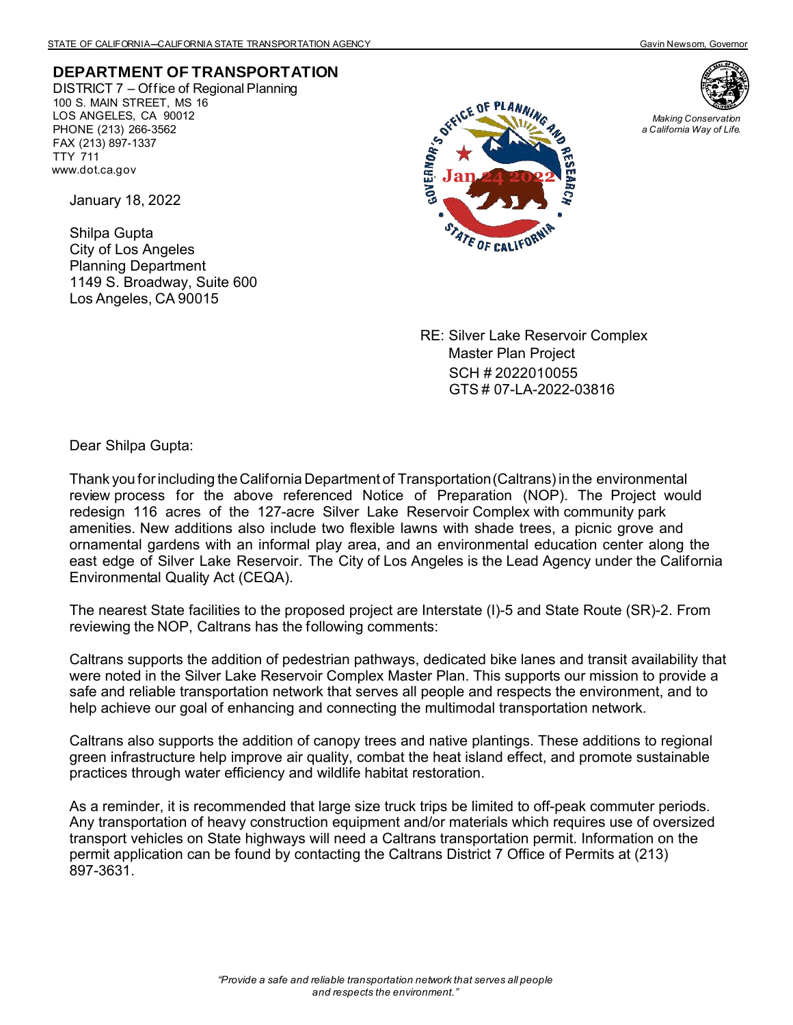## **DEPARTMENT OF TRANSPORTATION**

DISTRICT 7 – Office of Regional Planning 100 S. MAIN STREET, MS 16 LOS ANGELES, CA 90012 PHONE (213) 266-3562 FAX (213) 897-1337 TTY 711 www.dot.ca.gov

January 18, 2022

Shilpa Gupta City of Los Angeles Planning Department 1149 S. Broadway, Suite 600 Los Angeles, CA 90015





*Making Conservation a California Way of Life.*

RE: Silver Lake Reservoir Complex Master Plan Project SCH # 2022010055 GTS # 07-LA-2022-03816

Dear Shilpa Gupta:

Thank you for including the California Department of Transportation (Caltrans) in the environmental review process for the above referenced Notice of Preparation (NOP). The Project would redesign 116 acres of the 127-acre Silver Lake Reservoir Complex with community park amenities. New additions also include two flexible lawns with shade trees, a picnic grove and ornamental gardens with an informal play area, and an environmental education center along the east edge of Silver Lake Reservoir. The City of Los Angeles is the Lead Agency under the California Environmental Quality Act (CEQA).

The nearest State facilities to the proposed project are Interstate (I)-5 and State Route (SR)-2. From reviewing the NOP, Caltrans has the following comments:

Caltrans supports the addition of pedestrian pathways, dedicated bike lanes and transit availability that were noted in the Silver Lake Reservoir Complex Master Plan. This supports our mission to provide a safe and reliable transportation network that serves all people and respects the environment, and to help achieve our goal of enhancing and connecting the multimodal transportation network.

Caltrans also supports the addition of canopy trees and native plantings. These additions to regional green infrastructure help improve air quality, combat the heat island effect, and promote sustainable practices through water efficiency and wildlife habitat restoration.

As a reminder, it is recommended that large size truck trips be limited to off-peak commuter periods. Any transportation of heavy construction equipment and/or materials which requires use of oversized transport vehicles on State highways will need a Caltrans transportation permit. Information on the permit application can be found by contacting the Caltrans District 7 Office of Permits at (213) 897-3631.